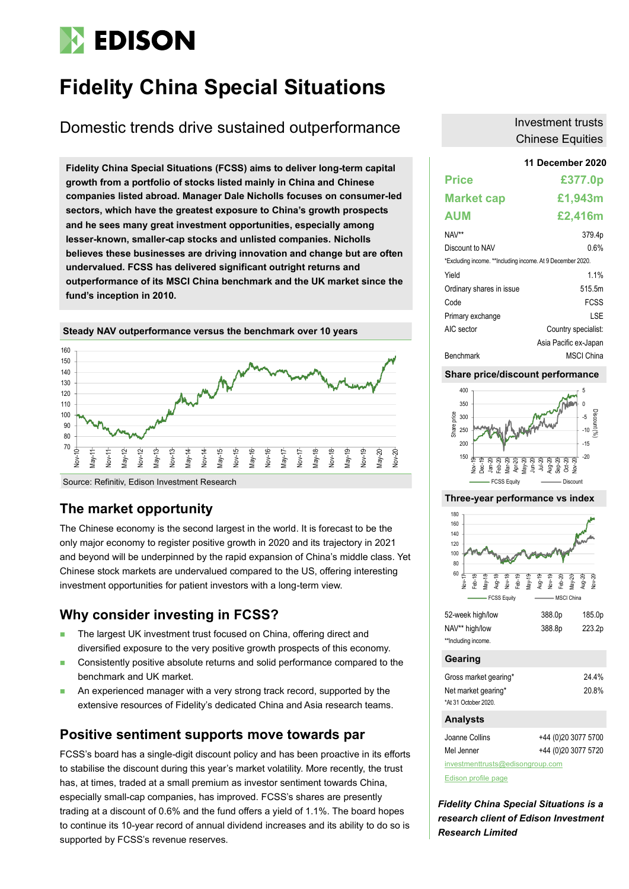# **EDISON**

# **Fidelity China Special Situations**

## Domestic trends drive sustained outperformance

**11 December 2020 Fidelity China Special Situations (FCSS) aims to deliver long-term capital growth from a portfolio of stocks listed mainly in China and Chinese companies listed abroad. Manager Dale Nicholls focuses on consumer-led sectors, which have the greatest exposure to China's growth prospects and he sees many great investment opportunities, especially among lesser-known, smaller-cap stocks and unlisted companies. Nicholls believes these businesses are driving innovation and change but are often undervalued. FCSS has delivered significant outright returns and outperformance of its MSCI China benchmark and the UK market since the fund's inception in 2010.**



**Source: Refinitiv, Edison Investment Research** 

### **The market opportunity**

The Chinese economy is the second largest in the world. It is forecast to be the only major economy to register positive growth in 2020 and its trajectory in 2021 and beyond will be underpinned by the rapid expansion of China's middle class. Yet Chinese stock markets are undervalued compared to the US, offering interesting investment opportunities for patient investors with a long-term view.

### **Why consider investing in FCSS?**

- The largest UK investment trust focused on China, offering direct and diversified exposure to the very positive growth prospects of this economy.
- Consistently positive absolute returns and solid performance compared to the benchmark and UK market.
- An experienced manager with a very strong track record, supported by the extensive resources of Fidelity's dedicated China and Asia research teams.

### **Positive sentiment supports move towards par**

FCSS's board has a single-digit discount policy and has been proactive in its efforts to stabilise the discount during this year's market volatility. More recently, the trust has, at times, traded at a small premium as investor sentiment towards China, especially small-cap companies, has improved. FCSS's shares are presently trading at a discount of 0.6% and the fund offers a yield of 1.1%. The board hopes to continue its 10-year record of annual dividend increases and its ability to do so is supported by FCSS's revenue reserves.

### Investment trusts Chinese Equities

| <b>Price</b>                                               | £377.0p               |
|------------------------------------------------------------|-----------------------|
| <b>Market cap</b>                                          | £1,943m               |
| <b>AUM</b>                                                 | £2,416m               |
| NAV**                                                      | 379.4p                |
| Discount to NAV                                            | 0.6%                  |
| *Excluding income. **Including income. At 9 December 2020. |                       |
| Yield                                                      | 1.1%                  |
| Ordinary shares in issue                                   | 515.5m                |
| Code                                                       | <b>FCSS</b>           |
| Primary exchange                                           | I SF                  |
| AIC sector                                                 | Country specialist:   |
|                                                            | Asia Pacific ex-Japan |
| Benchmark                                                  | <b>MSCI</b> China     |

#### **Share price/discount performance**



#### **Three-year performance vs index**



| **Including income. |  |
|---------------------|--|

### **Gearing**

| Gross market gearing* | 24.4% |
|-----------------------|-------|
| Net market gearing*   | 20.8% |
| *At 31 October 2020.  |       |

#### **Analysts**

| Joanne Collins | +44 (0)20 3077 5700 |
|----------------|---------------------|
| Mel Jenner     | +44 (0)20 3077 5720 |

[investmenttrusts@edisongroup.com](mailto:investmenttrusts@edisongroup.com)

[Edison profile page](https://www.edisongroup.com/company/fidelity-china-special-situations/1994/)

*Fidelity China Special Situations is a research client of Edison Investment Research Limited*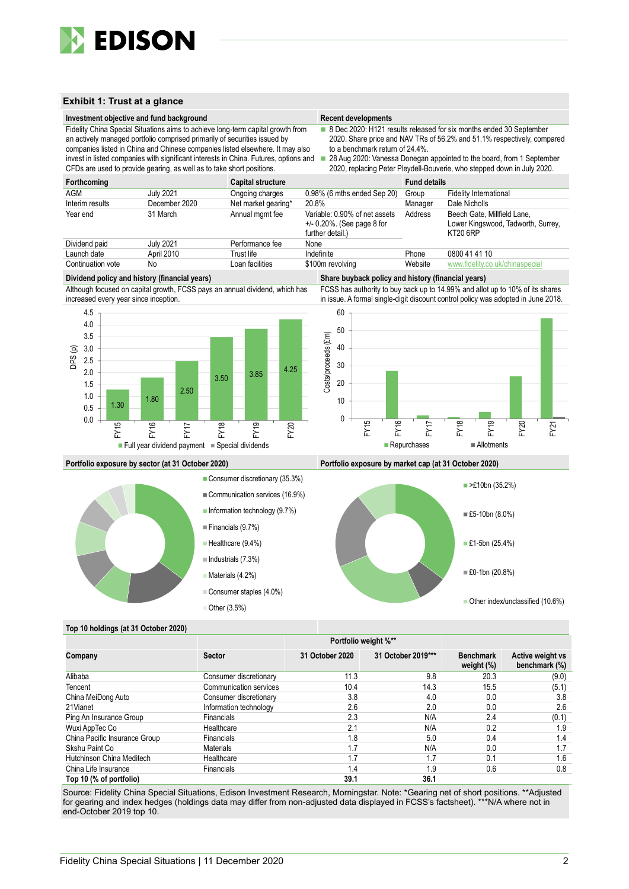

#### **Exhibit 1: Trust at a glance**

**Investment objective and fund background** 

|  | <b>Recent developments</b> |
|--|----------------------------|
|  |                            |

- Fidelity China Special Situations aims to achieve long-term capital growth from ■ 8 Dec 2020: H121 results released for six months ended 30 September 2020. Share price and NAV TRs of 56.2% and 51.1% respectively, compared to a benchmark return of 24.4%.
- companies listed in China and Chinese companies listed elsewhere. It may also invest in listed companies with significant interests in China. Futures, options and CFDs are used to provide gearing, as well as to take short positions.

an actively managed portfolio comprised primarily of securities issued by

■ 28 Aug 2020: Vanessa Donegan appointed to the board, from 1 September 2020, replacing Peter Pleydell-Bouverie, who stepped down in July 2020.

| Forthcoming       |               | <b>Capital structure</b> |                                                                                     | <b>Fund details</b> |                                                                                      |
|-------------------|---------------|--------------------------|-------------------------------------------------------------------------------------|---------------------|--------------------------------------------------------------------------------------|
| AGM               | July 2021     | Ongoing charges          | 0.98% (6 mths ended Sep 20)                                                         | Group               | <b>Fidelity International</b>                                                        |
| Interim results   | December 2020 | Net market gearing*      | 20.8%                                                                               | Manager             | Dale Nicholls                                                                        |
| Year end          | 31 March      | Annual mgmt fee          | Variable: 0.90% of net assets<br>$+/- 0.20\%$ . (See page 8 for<br>further detail.) | Address             | Beech Gate. Millfield Lane.<br>Lower Kingswood, Tadworth, Surrey,<br><b>KT20 6RP</b> |
| Dividend paid     | July 2021     | Performance fee          | None                                                                                |                     |                                                                                      |
| Launch date       | April 2010    | Trust life               | Indefinite                                                                          | Phone               | 0800 41 41 10                                                                        |
| Continuation vote | No            | Loan facilities          | \$100m revolving                                                                    | Website             | www.fidelity.co.uk/chinaspecial                                                      |

#### **Dividend policy and history (financial years) Share buyback policy and history (financial years)**

Although focused on capital growth, FCSS pays an annual dividend, which has increased every year since inception.





FCSS has authority to buy back up to 14.99% and allot up to 10% of its shares

#### **Portfolio exposure by sector (at 31 October 2020) Portfolio exposure by market cap (at 31 October 2020)**



- Information technology (9.7%)
- Financials (9.7%)
- Healthcare (9.4%)
- **Materials (4.2%)**
- Consumer staples (4.0%)

■ Other (3.5%)



#### **Top 10 holdings (at 31 October 2020)**

|                               |                        | Portfolio weight %** |                    |                                |                                   |
|-------------------------------|------------------------|----------------------|--------------------|--------------------------------|-----------------------------------|
| Company                       | <b>Sector</b>          | 31 October 2020      | 31 October 2019*** | <b>Benchmark</b><br>weight (%) | Active weight vs<br>benchmark (%) |
| Alibaba                       | Consumer discretionary | 11.3                 | 9.8                | 20.3                           | (9.0)                             |
| Tencent                       | Communication services | 10.4                 | 14.3               | 15.5                           | (5.1)                             |
| China MeiDong Auto            | Consumer discretionary | 3.8                  | 4.0                | 0.0                            | 3.8                               |
| 21Vianet                      | Information technology | 2.6                  | 2.0                | 0.0                            | 2.6                               |
| Ping An Insurance Group       | <b>Financials</b>      | 2.3                  | N/A                | 2.4                            | (0.1)                             |
| Wuxi AppTec Co                | Healthcare             | 2.1                  | N/A                | 0.2                            | 1.9                               |
| China Pacific Insurance Group | <b>Financials</b>      | 1.8                  | 5.0                | 0.4                            | 1.4                               |
| Skshu Paint Co                | <b>Materials</b>       | 1.7                  | N/A                | 0.0                            | 1.7                               |
| Hutchinson China Meditech     | Healthcare             | 1.7                  | 1.7                | 0.1                            | 1.6                               |
| China Life Insurance          | <b>Financials</b>      | 1.4                  | 1.9                | 0.6                            | 0.8                               |
| Top 10 (% of portfolio)       |                        | 39.1                 | 36.1               |                                |                                   |

Source: Fidelity China Special Situations, Edison Investment Research, Morningstar. Note: \*Gearing net of short positions. \*\*Adjusted for gearing and index hedges (holdings data may differ from non-adjusted data displayed in FCSS's factsheet). \*\*\*N/A where not in end-October 2019 top 10.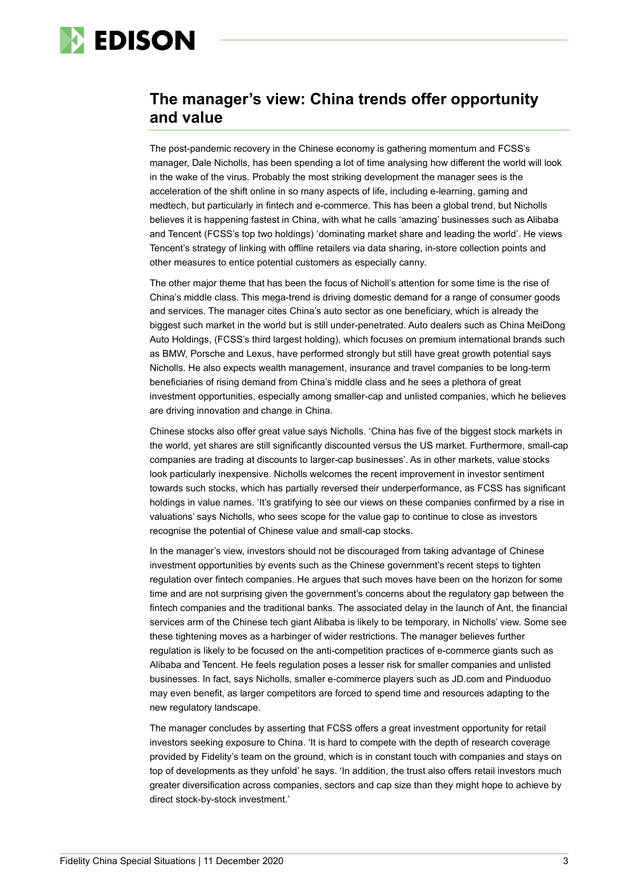

### **The manager's view: China trends offer opportunity and value**

The post-pandemic recovery in the Chinese economy is gathering momentum and FCSS's manager, Dale Nicholls, has been spending a lot of time analysing how different the world will look in the wake of the virus. Probably the most striking development the manager sees is the acceleration of the shift online in so many aspects of life, including e-learning, gaming and medtech, but particularly in fintech and e-commerce. This has been a global trend, but Nicholls believes it is happening fastest in China, with what he calls 'amazing' businesses such as Alibaba and Tencent (FCSS's top two holdings) 'dominating market share and leading the world'. He views Tencent's strategy of linking with offline retailers via data sharing, in-store collection points and other measures to entice potential customers as especially canny.

The other major theme that has been the focus of Nicholl's attention for some time is the rise of China's middle class. This mega-trend is driving domestic demand for a range of consumer goods and services. The manager cites China's auto sector as one beneficiary, which is already the biggest such market in the world but is still under-penetrated. Auto dealers such as China MeiDong Auto Holdings, (FCSS's third largest holding), which focuses on premium international brands such as BMW, Porsche and Lexus, have performed strongly but still have great growth potential says Nicholls. He also expects wealth management, insurance and travel companies to be long-term beneficiaries of rising demand from China's middle class and he sees a plethora of great investment opportunities, especially among smaller-cap and unlisted companies, which he believes are driving innovation and change in China.

Chinese stocks also offer great value says Nicholls. 'China has five of the biggest stock markets in the world, yet shares are still significantly discounted versus the US market. Furthermore, small-cap companies are trading at discounts to larger-cap businesses'. As in other markets, value stocks look particularly inexpensive. Nicholls welcomes the recent improvement in investor sentiment towards such stocks, which has partially reversed their underperformance, as FCSS has significant holdings in value names. 'It's gratifying to see our views on these companies confirmed by a rise in valuations' says Nicholls, who sees scope for the value gap to continue to close as investors recognise the potential of Chinese value and small-cap stocks.

In the manager's view, investors should not be discouraged from taking advantage of Chinese investment opportunities by events such as the Chinese government's recent steps to tighten regulation over fintech companies. He argues that such moves have been on the horizon for some time and are not surprising given the government's concerns about the regulatory gap between the fintech companies and the traditional banks. The associated delay in the launch of Ant, the financial services arm of the Chinese tech giant Alibaba is likely to be temporary, in Nicholls' view. Some see these tightening moves as a harbinger of wider restrictions. The manager believes further regulation is likely to be focused on the anti-competition practices of e-commerce giants such as Alibaba and Tencent. He feels regulation poses a lesser risk for smaller companies and unlisted businesses. In fact, says Nicholls, smaller e-commerce players such as JD.com and Pinduoduo may even benefit, as larger competitors are forced to spend time and resources adapting to the new regulatory landscape.

The manager concludes by asserting that FCSS offers a great investment opportunity for retail investors seeking exposure to China. 'It is hard to compete with the depth of research coverage provided by Fidelity's team on the ground, which is in constant touch with companies and stays on top of developments as they unfold' he says. 'In addition, the trust also offers retail investors much greater diversification across companies, sectors and cap size than they might hope to achieve by direct stock-by-stock investment.'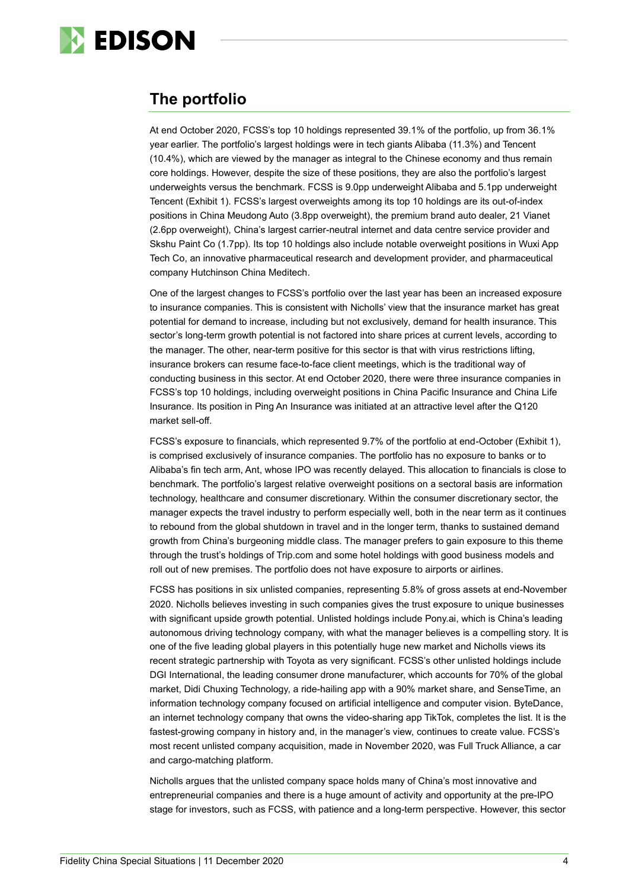

### **The portfolio**

At end October 2020, FCSS's top 10 holdings represented 39.1% of the portfolio, up from 36.1% year earlier. The portfolio's largest holdings were in tech giants Alibaba (11.3%) and Tencent (10.4%), which are viewed by the manager as integral to the Chinese economy and thus remain core holdings. However, despite the size of these positions, they are also the portfolio's largest underweights versus the benchmark. FCSS is 9.0pp underweight Alibaba and 5.1pp underweight Tencent (Exhibit 1). FCSS's largest overweights among its top 10 holdings are its out-of-index positions in China Meudong Auto (3.8pp overweight), the premium brand auto dealer, 21 Vianet (2.6pp overweight), China's largest carrier-neutral internet and data centre service provider and Skshu Paint Co (1.7pp). Its top 10 holdings also include notable overweight positions in Wuxi App Tech Co, an innovative pharmaceutical research and development provider, and pharmaceutical company Hutchinson China Meditech.

One of the largest changes to FCSS's portfolio over the last year has been an increased exposure to insurance companies. This is consistent with Nicholls' view that the insurance market has great potential for demand to increase, including but not exclusively, demand for health insurance. This sector's long-term growth potential is not factored into share prices at current levels, according to the manager. The other, near-term positive for this sector is that with virus restrictions lifting, insurance brokers can resume face-to-face client meetings, which is the traditional way of conducting business in this sector. At end October 2020, there were three insurance companies in FCSS's top 10 holdings, including overweight positions in China Pacific Insurance and China Life Insurance. Its position in Ping An Insurance was initiated at an attractive level after the Q120 market sell-off.

FCSS's exposure to financials, which represented 9.7% of the portfolio at end-October (Exhibit 1), is comprised exclusively of insurance companies. The portfolio has no exposure to banks or to Alibaba's fin tech arm, Ant, whose IPO was recently delayed. This allocation to financials is close to benchmark. The portfolio's largest relative overweight positions on a sectoral basis are information technology, healthcare and consumer discretionary. Within the consumer discretionary sector, the manager expects the travel industry to perform especially well, both in the near term as it continues to rebound from the global shutdown in travel and in the longer term, thanks to sustained demand growth from China's burgeoning middle class. The manager prefers to gain exposure to this theme through the trust's holdings of Trip.com and some hotel holdings with good business models and roll out of new premises. The portfolio does not have exposure to airports or airlines.

FCSS has positions in six unlisted companies, representing 5.8% of gross assets at end-November 2020. Nicholls believes investing in such companies gives the trust exposure to unique businesses with significant upside growth potential. Unlisted holdings include Pony.ai, which is China's leading autonomous driving technology company, with what the manager believes is a compelling story. It is one of the five leading global players in this potentially huge new market and Nicholls views its recent strategic partnership with Toyota as very significant. FCSS's other unlisted holdings include DGI International, the leading consumer drone manufacturer, which accounts for 70% of the global market, Didi Chuxing Technology, a ride-hailing app with a 90% market share, and SenseTime, an information technology company focused on artificial intelligence and computer vision. ByteDance, an internet technology company that owns the video-sharing app TikTok, completes the list. It is the fastest-growing company in history and, in the manager's view, continues to create value. FCSS's most recent unlisted company acquisition, made in November 2020, was Full Truck Alliance, a car and cargo-matching platform.

Nicholls argues that the unlisted company space holds many of China's most innovative and entrepreneurial companies and there is a huge amount of activity and opportunity at the pre-IPO stage for investors, such as FCSS, with patience and a long-term perspective. However, this sector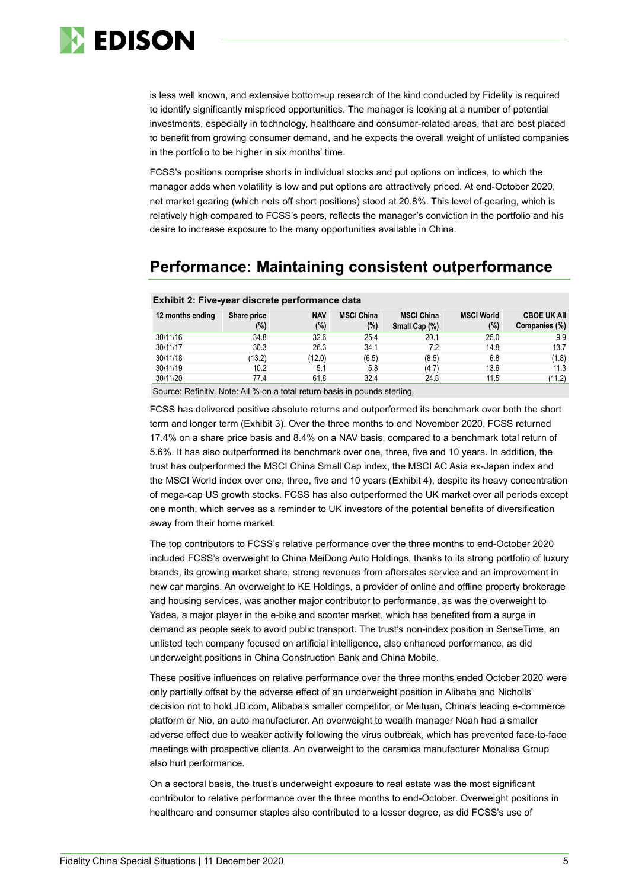

is less well known, and extensive bottom-up research of the kind conducted by Fidelity is required to identify significantly mispriced opportunities. The manager is looking at a number of potential investments, especially in technology, healthcare and consumer-related areas, that are best placed to benefit from growing consumer demand, and he expects the overall weight of unlisted companies in the portfolio to be higher in six months' time.

FCSS's positions comprise shorts in individual stocks and put options on indices, to which the manager adds when volatility is low and put options are attractively priced. At end-October 2020, net market gearing (which nets off short positions) stood at 20.8%. This level of gearing, which is relatively high compared to FCSS's peers, reflects the manager's conviction in the portfolio and his desire to increase exposure to the many opportunities available in China.

### **Performance: Maintaining consistent outperformance**

| <b>NAV</b><br><b>MSCI China</b><br><b>MSCI World</b><br><b>MSCI China</b><br>12 months ending<br>Share price<br>$(\%)$<br>$(\%)$<br>(%)<br>(%)<br>Small Cap (%) | <b>CBOE UK AII</b><br>Companies (%) |
|-----------------------------------------------------------------------------------------------------------------------------------------------------------------|-------------------------------------|
| 34.8<br>32.6<br>25.4<br>25.0<br>30/11/16<br>20.1                                                                                                                | 9.9                                 |
| 30/11/17<br>30.3<br>26.3<br>14.8<br>34.1<br>7.2                                                                                                                 | 13.7                                |
| 30/11/18<br>(13.2)<br>(12.0)<br>(6.5)<br>6.8<br>(8.5)                                                                                                           | (1.8)                               |
| 30/11/19<br>5.1<br>13.6<br>10.2<br>(4.7)<br>5.8                                                                                                                 | 11.3                                |
| 30/11/20<br>32.4<br>24.8<br>11.5<br>61.8<br>77.4                                                                                                                | (11.2)                              |

### **Exhibit 2: Five-year discrete performance data**

Source: Refinitiv. Note: All % on a total return basis in pounds sterling.

FCSS has delivered positive absolute returns and outperformed its benchmark over both the short term and longer term (Exhibit 3). Over the three months to end November 2020, FCSS returned 17.4% on a share price basis and 8.4% on a NAV basis, compared to a benchmark total return of 5.6%. It has also outperformed its benchmark over one, three, five and 10 years. In addition, the trust has outperformed the MSCI China Small Cap index, the MSCI AC Asia ex-Japan index and the MSCI World index over one, three, five and 10 years (Exhibit 4), despite its heavy concentration of mega-cap US growth stocks. FCSS has also outperformed the UK market over all periods except one month, which serves as a reminder to UK investors of the potential benefits of diversification away from their home market.

The top contributors to FCSS's relative performance over the three months to end-October 2020 included FCSS's overweight to China MeiDong Auto Holdings, thanks to its strong portfolio of luxury brands, its growing market share, strong revenues from aftersales service and an improvement in new car margins. An overweight to KE Holdings, a provider of online and offline property brokerage and housing services, was another major contributor to performance, as was the overweight to Yadea, a major player in the e-bike and scooter market, which has benefited from a surge in demand as people seek to avoid public transport. The trust's non-index position in SenseTime, an unlisted tech company focused on artificial intelligence, also enhanced performance, as did underweight positions in China Construction Bank and China Mobile.

These positive influences on relative performance over the three months ended October 2020 were only partially offset by the adverse effect of an underweight position in Alibaba and Nicholls' decision not to hold JD.com, Alibaba's smaller competitor, or Meituan, China's leading e-commerce platform or Nio, an auto manufacturer. An overweight to wealth manager Noah had a smaller adverse effect due to weaker activity following the virus outbreak, which has prevented face-to-face meetings with prospective clients. An overweight to the ceramics manufacturer Monalisa Group also hurt performance.

On a sectoral basis, the trust's underweight exposure to real estate was the most significant contributor to relative performance over the three months to end-October. Overweight positions in healthcare and consumer staples also contributed to a lesser degree, as did FCSS's use of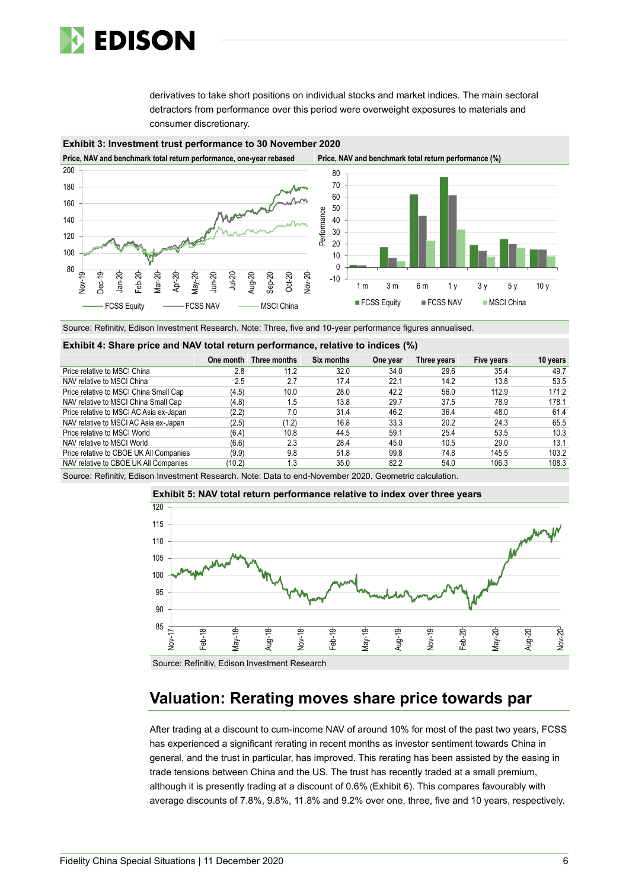

derivatives to take short positions on individual stocks and market indices. The main sectoral detractors from performance over this period were overweight exposures to materials and consumer discretionary.



Source: Refinitiv, Edison Investment Research. Note: Three, five and 10-year performance figures annualised.

#### **Exhibit 4: Share price and NAV total return performance, relative to indices (%)**

|                                         |        | One month Three months | Six months | One year | Three years | Five years | 10 years |
|-----------------------------------------|--------|------------------------|------------|----------|-------------|------------|----------|
| Price relative to MSCI China            | 2.8    | 11.2                   | 32.0       | 34.0     | 29.6        | 35.4       | 49.7     |
| NAV relative to MSCI China              | 2.5    | 2.7                    | 17.4       | 22.1     | 14.2        | 13.8       | 53.5     |
| Price relative to MSCI China Small Cap  | (4.5)  | 10.0                   | 28.0       | 42.2     | 56.0        | 112.9      | 171.2    |
| NAV relative to MSCI China Small Cap    | (4.8)  | ا 5.                   | 13.8       | 29.7     | 37.5        | 78.9       | 178.1    |
| Price relative to MSCI AC Asia ex-Japan | (2.2)  | 7.0                    | 31.4       | 46.2     | 36.4        | 48.0       | 61.4     |
| NAV relative to MSCI AC Asia ex-Japan   | (2.5)  | (1.2)                  | 16.8       | 33.3     | 20.2        | 24.3       | 65.5     |
| Price relative to MSCI World            | (6.4)  | 10.8                   | 44.5       | 59.1     | 25.4        | 53.5       | 10.3     |
| NAV relative to MSCI World              | (6.6)  | 2.3                    | 28.4       | 45.0     | 10.5        | 29.0       | 13.1     |
| Price relative to CBOE UK All Companies | (9.9)  | 9.8                    | 51.8       | 99.8     | 74.8        | 145.5      | 103.2    |
| NAV relative to CBOE UK All Companies   | (10.2) | 1.3                    | 35.0       | 82.2     | 54.0        | 106.3      | 108.3    |

Source: Refinitiv, Edison Investment Research. Note: Data to end-November 2020. Geometric calculation.



**Exhibit 5: NAV total return performance relative to index over three years**

Source: Refinitiv, Edison Investment Research

### **Valuation: Rerating moves share price towards par**

After trading at a discount to cum-income NAV of around 10% for most of the past two years, FCSS has experienced a significant rerating in recent months as investor sentiment towards China in general, and the trust in particular, has improved. This rerating has been assisted by the easing in trade tensions between China and the US. The trust has recently traded at a small premium, although it is presently trading at a discount of 0.6% (Exhibit 6). This compares favourably with average discounts of 7.8%, 9.8%, 11.8% and 9.2% over one, three, five and 10 years, respectively.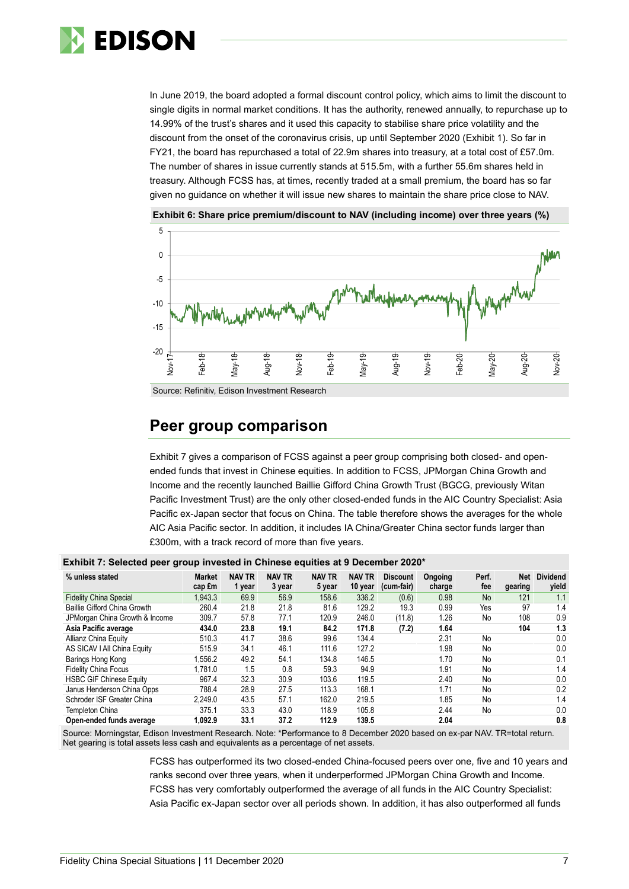

In June 2019, the board adopted a formal discount control policy, which aims to limit the discount to single digits in normal market conditions. It has the authority, renewed annually, to repurchase up to 14.99% of the trust's shares and it used this capacity to stabilise share price volatility and the discount from the onset of the coronavirus crisis, up until September 2020 (Exhibit 1). So far in FY21, the board has repurchased a total of 22.9m shares into treasury, at a total cost of £57.0m. The number of shares in issue currently stands at 515.5m, with a further 55.6m shares held in treasury. Although FCSS has, at times, recently traded at a small premium, the board has so far given no guidance on whether it will issue new shares to maintain the share price close to NAV.



**Exhibit 6: Share price premium/discount to NAV (including income) over three years (%)**

Source: Refinitiv, Edison Investment Research

### **Peer group comparison**

Exhibit 7 gives a comparison of FCSS against a peer group comprising both closed- and openended funds that invest in Chinese equities. In addition to FCSS, JPMorgan China Growth and Income and the recently launched Baillie Gifford China Growth Trust (BGCG, previously Witan Pacific Investment Trust) are the only other closed-ended funds in the AIC Country Specialist: Asia Pacific ex-Japan sector that focus on China. The table therefore shows the averages for the whole AIC Asia Pacific sector. In addition, it includes IA China/Greater China sector funds larger than £300m, with a track record of more than five years.

| Exilian I i Goloolog pool group ilitoolog ili Gillilood oqunloo ul o boodilladi Eved |                         |                         |                         |                         |                          |                               |                   |              |                |                          |
|--------------------------------------------------------------------------------------|-------------------------|-------------------------|-------------------------|-------------------------|--------------------------|-------------------------------|-------------------|--------------|----------------|--------------------------|
| % unless stated                                                                      | <b>Market</b><br>cap £m | <b>NAV TR</b><br>1 year | <b>NAV TR</b><br>3 year | <b>NAV TR</b><br>5 year | <b>NAV TR</b><br>10 year | <b>Discount</b><br>(cum-fair) | Ongoing<br>charge | Perf.<br>fee | Net<br>gearing | <b>Dividend</b><br>vield |
| <b>Fidelity China Special</b>                                                        | 1.943.3                 | 69.9                    | 56.9                    | 158.6                   | 336.2                    | (0.6)                         | 0.98              | <b>No</b>    | 121            | 1.1                      |
| Baillie Gifford China Growth                                                         | 260.4                   | 21.8                    | 21.8                    | 81.6                    | 129.2                    | 19.3                          | 0.99              | Yes          | 97             | 1.4                      |
| JPMorgan China Growth & Income                                                       | 309.7                   | 57.8                    | 77.1                    | 120.9                   | 246.0                    | (11.8)                        | 1.26              | No           | 108            | 0.9                      |
| Asia Pacific average                                                                 | 434.0                   | 23.8                    | 19.1                    | 84.2                    | 171.8                    | (7.2)                         | 1.64              |              | 104            | 1.3                      |
| Allianz China Equity                                                                 | 510.3                   | 41.7                    | 38.6                    | 99.6                    | 134.4                    |                               | 2.31              | No           |                | 0.0                      |
| AS SICAV I All China Equity                                                          | 515.9                   | 34.1                    | 46.1                    | 111.6                   | 127.2                    |                               | 1.98              | No           |                | 0.0                      |
| Barings Hong Kong                                                                    | 1,556.2                 | 49.2                    | 54.1                    | 134.8                   | 146.5                    |                               | 1.70              | No           |                | 0.1                      |
| <b>Fidelity China Focus</b>                                                          | 1.781.0                 | 1.5                     | 0.8                     | 59.3                    | 94.9                     |                               | 1.91              | No           |                | 1.4                      |
| <b>HSBC GIF Chinese Equity</b>                                                       | 967.4                   | 32.3                    | 30.9                    | 103.6                   | 119.5                    |                               | 2.40              | No           |                | 0.0                      |
| Janus Henderson China Opps                                                           | 788.4                   | 28.9                    | 27.5                    | 113.3                   | 168.1                    |                               | 1.71              | No           |                | 0.2                      |
| Schroder ISF Greater China                                                           | 2.249.0                 | 43.5                    | 57.1                    | 162.0                   | 219.5                    |                               | 1.85              | No           |                | 1.4                      |
| Templeton China                                                                      | 375.1                   | 33.3                    | 43.0                    | 118.9                   | 105.8                    |                               | 2.44              | No           |                | 0.0                      |
| Open-ended funds average                                                             | 1.092.9                 | 33.1                    | 37.2                    | 112.9                   | 139.5                    |                               | 2.04              |              |                | 0.8                      |

#### **Exhibit 7: Selected peer group invested in Chinese equities at 9 December 2020\***

Source: Morningstar, Edison Investment Research. Note: \*Performance to 8 December 2020 based on ex-par NAV. TR=total return. Net gearing is total assets less cash and equivalents as a percentage of net assets.

> FCSS has outperformed its two closed-ended China-focused peers over one, five and 10 years and ranks second over three years, when it underperformed JPMorgan China Growth and Income. FCSS has very comfortably outperformed the average of all funds in the AIC Country Specialist: Asia Pacific ex-Japan sector over all periods shown. In addition, it has also outperformed all funds